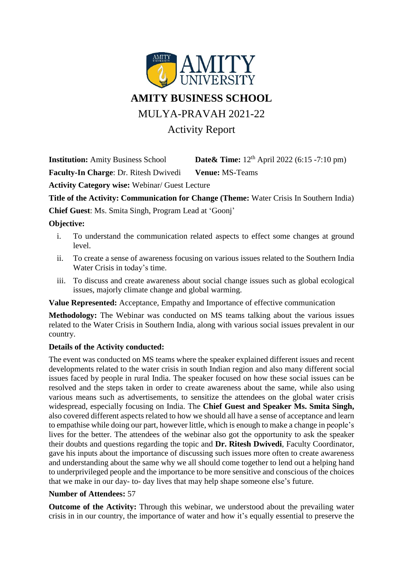

**Institution:** Amity Business School **Date & Time:**  $12<sup>th</sup>$  April 2022 (6:15 -7:10 pm)

**Faculty-In Charge**: Dr. Ritesh Dwivedi **Venue:** MS-Teams

**Activity Category wise:** Webinar/ Guest Lecture

**Title of the Activity: Communication for Change (Theme:** Water Crisis In Southern India)

**Chief Guest**: Ms. Smita Singh, Program Lead at 'Goonj'

## **Objective:**

- i. To understand the communication related aspects to effect some changes at ground level.
- ii. To create a sense of awareness focusing on various issues related to the Southern India Water Crisis in today's time.
- iii. To discuss and create awareness about social change issues such as global ecological issues, majorly climate change and global warming.

**Value Represented:** Acceptance, Empathy and Importance of effective communication

**Methodology:** The Webinar was conducted on MS teams talking about the various issues related to the Water Crisis in Southern India, along with various social issues prevalent in our country.

## **Details of the Activity conducted:**

The event was conducted on MS teams where the speaker explained different issues and recent developments related to the water crisis in south Indian region and also many different social issues faced by people in rural India. The speaker focused on how these social issues can be resolved and the steps taken in order to create awareness about the same, while also using various means such as advertisements, to sensitize the attendees on the global water crisis widespread, especially focusing on India. The **Chief Guest and Speaker Ms. Smita Singh,** also covered different aspects related to how we should all have a sense of acceptance and learn to empathise while doing our part, however little, which is enough to make a change in people's lives for the better. The attendees of the webinar also got the opportunity to ask the speaker their doubts and questions regarding the topic and **Dr. Ritesh Dwivedi**, Faculty Coordinator, gave his inputs about the importance of discussing such issues more often to create awareness and understanding about the same why we all should come together to lend out a helping hand to underprivileged people and the importance to be more sensitive and conscious of the choices that we make in our day- to- day lives that may help shape someone else's future.

## **Number of Attendees:** 57

**Outcome of the Activity:** Through this webinar, we understood about the prevailing water crisis in in our country, the importance of water and how it's equally essential to preserve the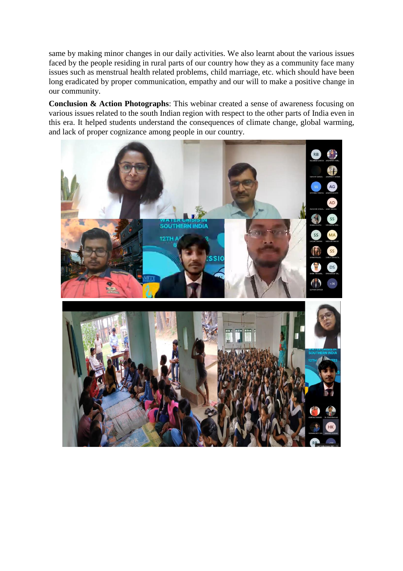same by making minor changes in our daily activities. We also learnt about the various issues faced by the people residing in rural parts of our country how they as a community face many issues such as menstrual health related problems, child marriage, etc. which should have been long eradicated by proper communication, empathy and our will to make a positive change in our community.

**Conclusion & Action Photographs**: This webinar created a sense of awareness focusing on various issues related to the south Indian region with respect to the other parts of India even in this era. It helped students understand the consequences of climate change, global warming, and lack of proper cognizance among people in our country.